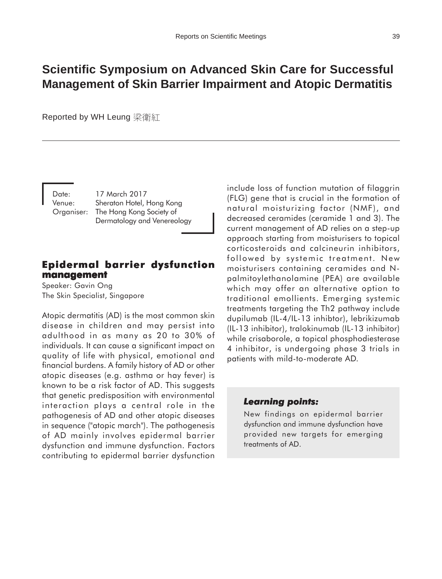# **Scientific Symposium on Advanced Skin Care for Successful Management of Skin Barrier Impairment and Atopic Dermatitis**

Reported by WH Leung 梁衛紅

Date: 17 March 2017 Venue: Sheraton Hotel, Hong Kong Organiser: The Hong Kong Society of Dermatology and Venereology

## **Epidermal barrier dysfunction management management**

Speaker: Gavin Ong The Skin Specialist, Singapore

Atopic dermatitis (AD) is the most common skin disease in children and may persist into adulthood in as many as 20 to 30% of individuals. It can cause a significant impact on quality of life with physical, emotional and financial burdens. A family history of AD or other atopic diseases (e.g. asthma or hay fever) is known to be a risk factor of AD. This suggests that genetic predisposition with environmental interaction plays a central role in the pathogenesis of AD and other atopic diseases in sequence ("atopic march"). The pathogenesis of AD mainly involves epidermal barrier dysfunction and immune dysfunction. Factors contributing to epidermal barrier dysfunction

include loss of function mutation of filaggrin (FLG) gene that is crucial in the formation of natural moisturizing factor (NMF), and decreased ceramides (ceramide 1 and 3). The current management of AD relies on a step-up approach starting from moisturisers to topical corticosteroids and calcineurin inhibitors, followed by systemic treatment. New moisturisers containing ceramides and Npalmitoylethanolamine (PEA) are available which may offer an alternative option to traditional emollients. Emerging systemic treatments targeting the Th2 pathway include dupilumab (IL-4/IL-13 inhibtor), lebrikizumab (IL-13 inhibitor), tralokinumab (IL-13 inhibitor) while crisaborole, a topical phosphodiesterase 4 inhibitor, is undergoing phase 3 trials in patients with mild-to-moderate AD.

### *Learning points: Learning points:*

New findings on epidermal barrier dysfunction and immune dysfunction have provided new targets for emerging treatments of AD.